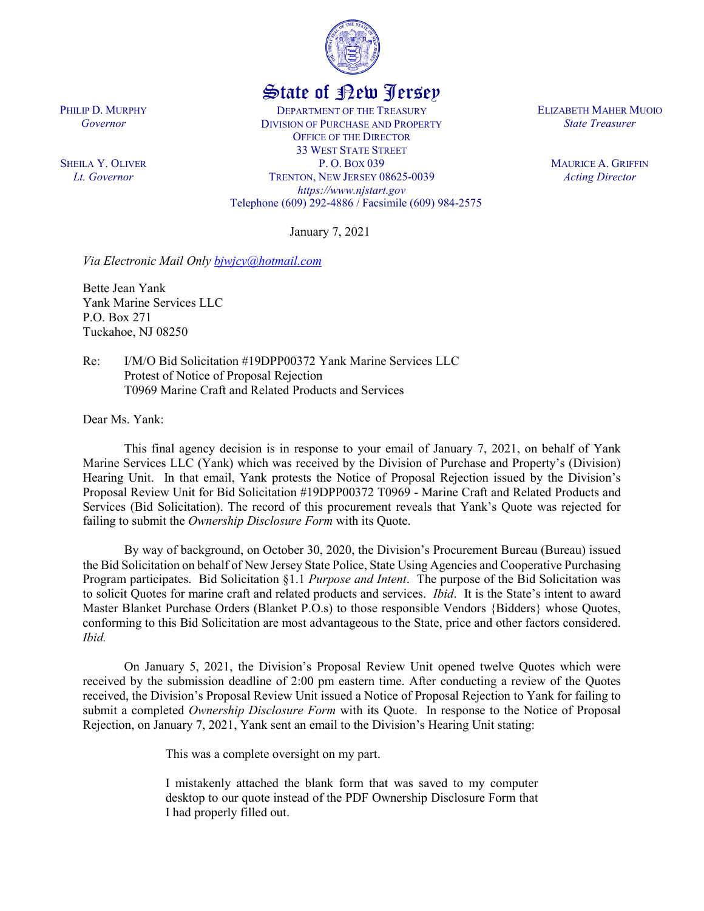

## State of New Jersey

DEPARTMENT OF THE TREASURY DIVISION OF PURCHASE AND PROPERTY OFFICE OF THE DIRECTOR 33 WEST STATE STREET P. O. BOX 039 TRENTON, NEW JERSEY 08625-0039 *https://www.njstart.gov* Telephone (609) 292-4886 / Facsimile (609) 984-2575

January 7, 2021

*Via Electronic Mail Only [bjwjcy@hotmail.com](mailto:bjwjcy@hotmail.com)*

Bette Jean Yank Yank Marine Services LLC P.O. Box 271 Tuckahoe, NJ 08250

Re: I/M/O Bid Solicitation #19DPP00372 Yank Marine Services LLC Protest of Notice of Proposal Rejection T0969 Marine Craft and Related Products and Services

Dear Ms. Yank:

This final agency decision is in response to your email of January 7, 2021, on behalf of Yank Marine Services LLC (Yank) which was received by the Division of Purchase and Property's (Division) Hearing Unit. In that email, Yank protests the Notice of Proposal Rejection issued by the Division's Proposal Review Unit for Bid Solicitation #19DPP00372 T0969 - Marine Craft and Related Products and Services (Bid Solicitation). The record of this procurement reveals that Yank's Quote was rejected for failing to submit the *Ownership Disclosure Form* with its Quote.

By way of background, on October 30, 2020, the Division's Procurement Bureau (Bureau) issued the Bid Solicitation on behalf of New Jersey State Police, State Using Agencies and Cooperative Purchasing Program participates. Bid Solicitation §1.1 *Purpose and Intent*. The purpose of the Bid Solicitation was to solicit Quotes for marine craft and related products and services. *Ibid*. It is the State's intent to award Master Blanket Purchase Orders (Blanket P.O.s) to those responsible Vendors {Bidders} whose Quotes, conforming to this Bid Solicitation are most advantageous to the State, price and other factors considered. *Ibid.* 

On January 5, 2021, the Division's Proposal Review Unit opened twelve Quotes which were received by the submission deadline of 2:00 pm eastern time. After conducting a review of the Quotes received, the Division's Proposal Review Unit issued a Notice of Proposal Rejection to Yank for failing to submit a completed *Ownership Disclosure Form* with its Quote. In response to the Notice of Proposal Rejection, on January 7, 2021, Yank sent an email to the Division's Hearing Unit stating:

This was a complete oversight on my part.

I mistakenly attached the blank form that was saved to my computer desktop to our quote instead of the PDF Ownership Disclosure Form that I had properly filled out.

PHILIP D. MURPHY *Governor*

SHEILA Y. OLIVER *Lt. Governor*

ELIZABETH MAHER MUOIO *State Treasurer*

> MAURICE A. GRIFFIN *Acting Director*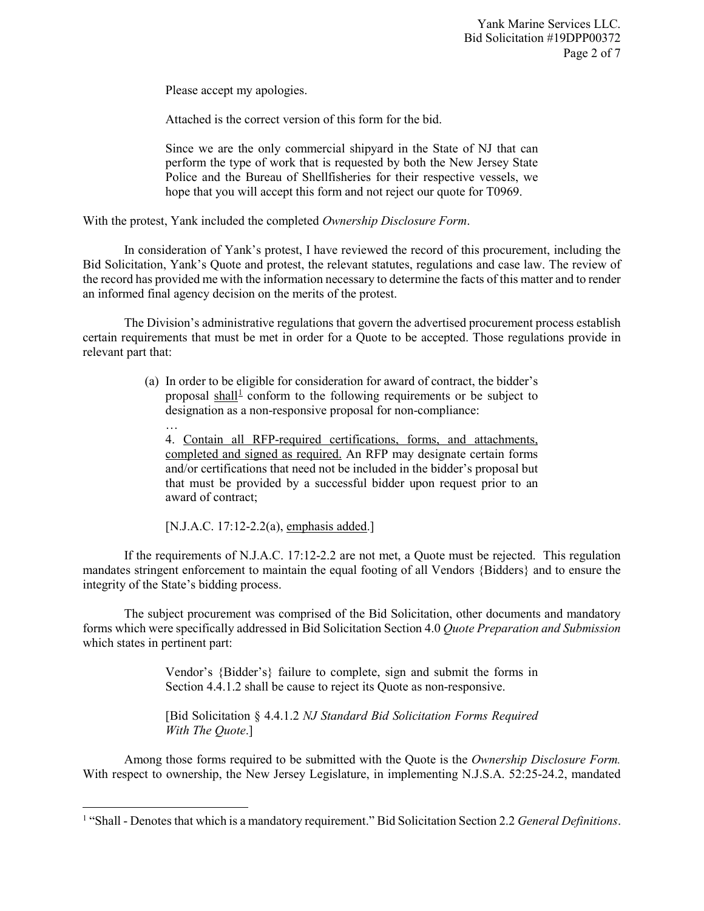Please accept my apologies.

Attached is the correct version of this form for the bid.

Since we are the only commercial shipyard in the State of NJ that can perform the type of work that is requested by both the New Jersey State Police and the Bureau of Shellfisheries for their respective vessels, we hope that you will accept this form and not reject our quote for T0969.

With the protest, Yank included the completed *Ownership Disclosure Form*.

In consideration of Yank's protest, I have reviewed the record of this procurement, including the Bid Solicitation, Yank's Quote and protest, the relevant statutes, regulations and case law. The review of the record has provided me with the information necessary to determine the facts of this matter and to render an informed final agency decision on the merits of the protest.

The Division's administrative regulations that govern the advertised procurement process establish certain requirements that must be met in order for a Quote to be accepted. Those regulations provide in relevant part that:

> (a) In order to be eligible for consideration for award of contract, the bidder's proposal shall<sup>[1](#page-1-0)</sup> conform to the following requirements or be subject to designation as a non-responsive proposal for non-compliance:

… 4. Contain all RFP-required certifications, forms, and attachments, completed and signed as required. An RFP may designate certain forms and/or certifications that need not be included in the bidder's proposal but that must be provided by a successful bidder upon request prior to an award of contract;

[N.J.A.C. 17:12-2.2(a), emphasis added.]

l

If the requirements of N.J.A.C. 17:12-2.2 are not met, a Quote must be rejected. This regulation mandates stringent enforcement to maintain the equal footing of all Vendors {Bidders} and to ensure the integrity of the State's bidding process.

The subject procurement was comprised of the Bid Solicitation, other documents and mandatory forms which were specifically addressed in Bid Solicitation Section 4.0 *Quote Preparation and Submission* which states in pertinent part:

> Vendor's {Bidder's} failure to complete, sign and submit the forms in Section 4.4.1.2 shall be cause to reject its Quote as non-responsive.

> [Bid Solicitation § 4.4.1.2 *NJ Standard Bid Solicitation Forms Required With The Quote*.]

Among those forms required to be submitted with the Quote is the *Ownership Disclosure Form.*  With respect to ownership, the New Jersey Legislature, in implementing N.J.S.A. 52:25-24.2, mandated

<span id="page-1-0"></span><sup>1</sup> "Shall - Denotes that which is a mandatory requirement." Bid Solicitation Section 2.2 *General Definitions*.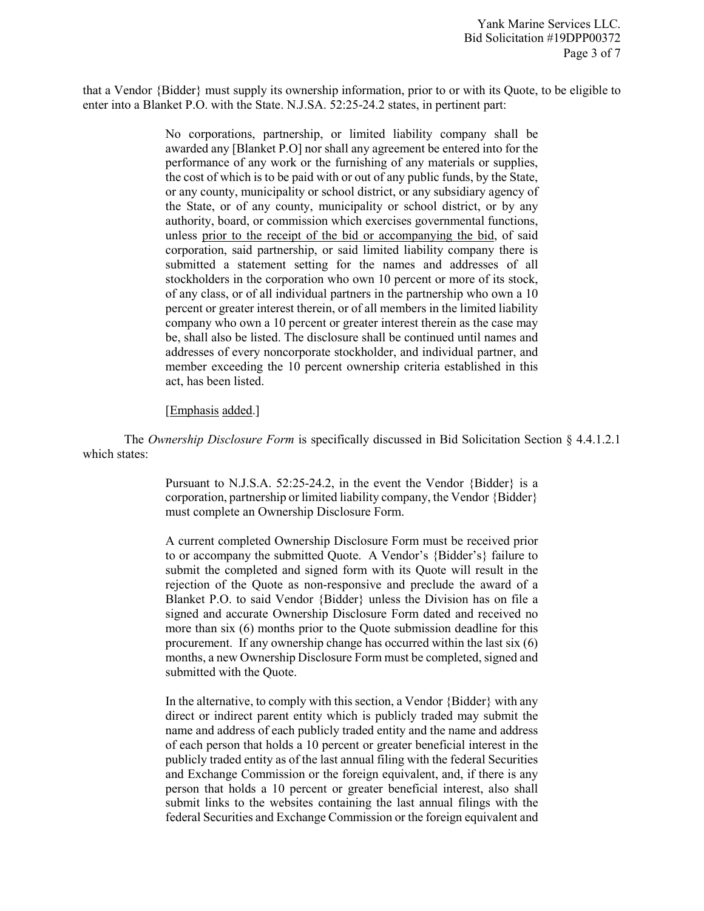that a Vendor {Bidder} must supply its ownership information, prior to or with its Quote, to be eligible to enter into a Blanket P.O. with the State. N.J.SA. 52:25-24.2 states, in pertinent part:

> No corporations, partnership, or limited liability company shall be awarded any [Blanket P.O] nor shall any agreement be entered into for the performance of any work or the furnishing of any materials or supplies, the cost of which is to be paid with or out of any public funds, by the State, or any county, municipality or school district, or any subsidiary agency of the State, or of any county, municipality or school district, or by any authority, board, or commission which exercises governmental functions, unless prior to the receipt of the bid or accompanying the bid, of said corporation, said partnership, or said limited liability company there is submitted a statement setting for the names and addresses of all stockholders in the corporation who own 10 percent or more of its stock, of any class, or of all individual partners in the partnership who own a 10 percent or greater interest therein, or of all members in the limited liability company who own a 10 percent or greater interest therein as the case may be, shall also be listed. The disclosure shall be continued until names and addresses of every noncorporate stockholder, and individual partner, and member exceeding the 10 percent ownership criteria established in this act, has been listed.

## [Emphasis added.]

The *Ownership Disclosure Form* is specifically discussed in Bid Solicitation Section § 4.4.1.2.1 which states:

> Pursuant to N.J.S.A. 52:25-24.2, in the event the Vendor {Bidder} is a corporation, partnership or limited liability company, the Vendor {Bidder} must complete an Ownership Disclosure Form.

> A current completed Ownership Disclosure Form must be received prior to or accompany the submitted Quote. A Vendor's {Bidder's} failure to submit the completed and signed form with its Quote will result in the rejection of the Quote as non-responsive and preclude the award of a Blanket P.O. to said Vendor {Bidder} unless the Division has on file a signed and accurate Ownership Disclosure Form dated and received no more than six (6) months prior to the Quote submission deadline for this procurement. If any ownership change has occurred within the last six (6) months, a new Ownership Disclosure Form must be completed, signed and submitted with the Quote.

> In the alternative, to comply with this section, a Vendor {Bidder} with any direct or indirect parent entity which is publicly traded may submit the name and address of each publicly traded entity and the name and address of each person that holds a 10 percent or greater beneficial interest in the publicly traded entity as of the last annual filing with the federal Securities and Exchange Commission or the foreign equivalent, and, if there is any person that holds a 10 percent or greater beneficial interest, also shall submit links to the websites containing the last annual filings with the federal Securities and Exchange Commission or the foreign equivalent and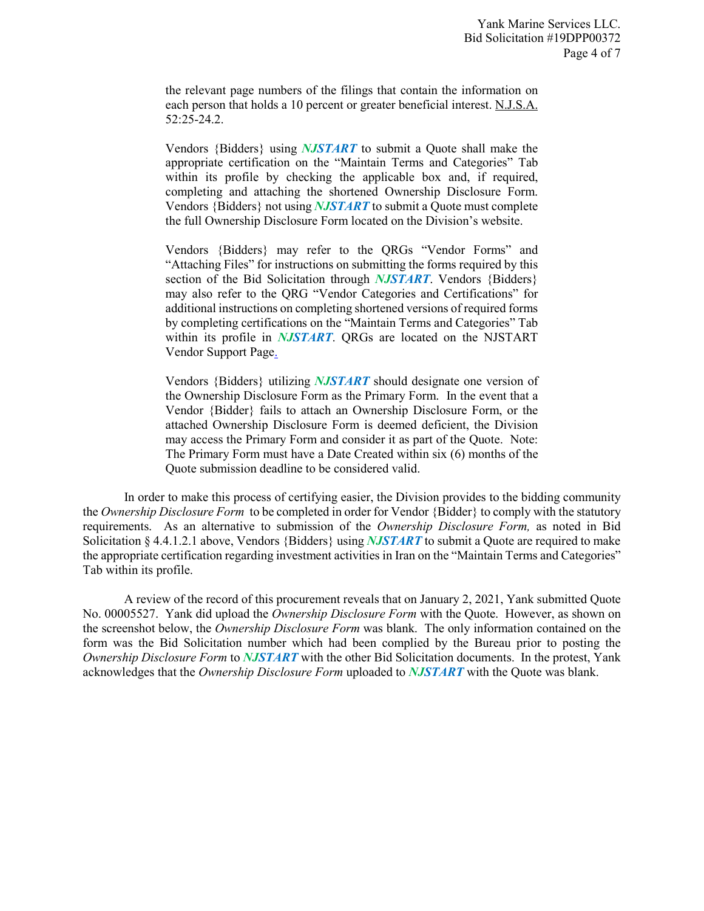the relevant page numbers of the filings that contain the information on each person that holds a 10 percent or greater beneficial interest. N.J.S.A. 52:25-24.2.

Vendors {Bidders} using *NJSTART* to submit a Quote shall make the appropriate certification on the "Maintain Terms and Categories" Tab within its profile by checking the applicable box and, if required, completing and attaching the shortened Ownership Disclosure Form. Vendors {Bidders} not using *NJSTART* to submit a Quote must complete the full Ownership Disclosure Form located on the Division's website.

Vendors {Bidders} may refer to the QRGs "Vendor Forms" and "Attaching Files" for instructions on submitting the forms required by this section of the Bid Solicitation through *NJSTART*. Vendors {Bidders} may also refer to the QRG "Vendor Categories and Certifications" for additional instructions on completing shortened versions of required forms by completing certifications on the "Maintain Terms and Categories" Tab within its profile in *NJSTART*. QRGs are located on the NJSTART Vendor Support Page.

Vendors {Bidders} utilizing *NJSTART* should designate one version of the Ownership Disclosure Form as the Primary Form. In the event that a Vendor {Bidder} fails to attach an Ownership Disclosure Form, or the attached Ownership Disclosure Form is deemed deficient, the Division may access the Primary Form and consider it as part of the Quote. Note: The Primary Form must have a Date Created within six (6) months of the Quote submission deadline to be considered valid.

In order to make this process of certifying easier, the Division provides to the bidding community the *Ownership Disclosure Form* to be completed in order for Vendor {Bidder} to comply with the statutory requirements. As an alternative to submission of the *Ownership Disclosure Form,* as noted in Bid Solicitation § 4.4.1.2.1 above, Vendors {Bidders} using *NJSTART* to submit a Quote are required to make the appropriate certification regarding investment activities in Iran on the "Maintain Terms and Categories" Tab within its profile.

A review of the record of this procurement reveals that on January 2, 2021, Yank submitted Quote No. 00005527. Yank did upload the *Ownership Disclosure Form* with the Quote. However, as shown on the screenshot below, the *Ownership Disclosure Form* was blank. The only information contained on the form was the Bid Solicitation number which had been complied by the Bureau prior to posting the *Ownership Disclosure Form* to *NJSTART* with the other Bid Solicitation documents. In the protest, Yank acknowledges that the *Ownership Disclosure Form* uploaded to *NJSTART* with the Quote was blank.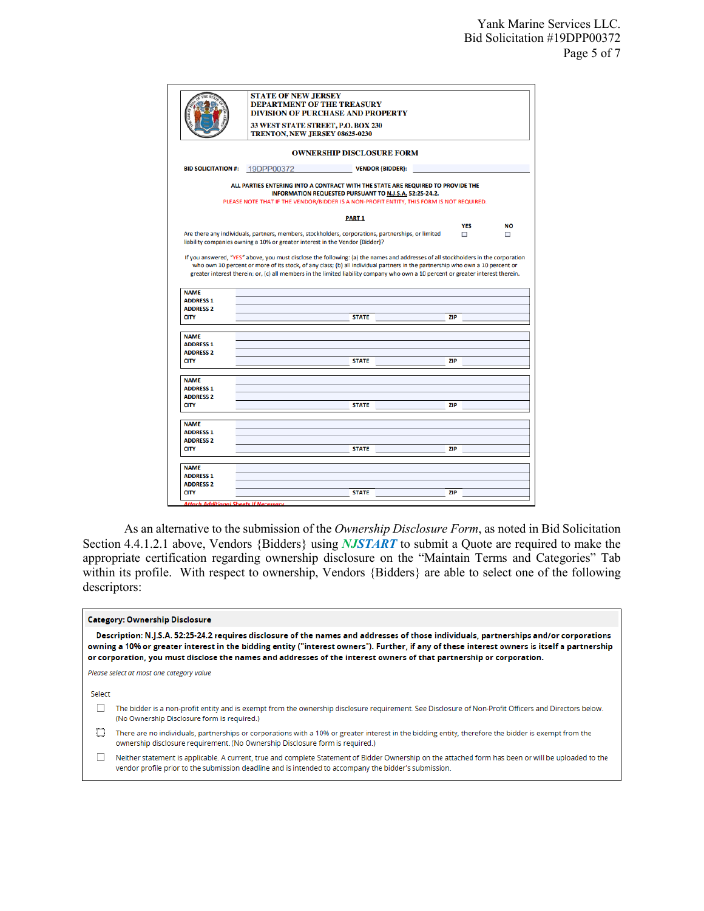|                                 | <b>STATE OF NEW JERSEY</b><br><b>DEPARTMENT OF THE TREASURY</b><br><b>DIVISION OF PURCHASE AND PROPERTY</b>                                                                                                                           |            |           |  |  |  |  |  |  |
|---------------------------------|---------------------------------------------------------------------------------------------------------------------------------------------------------------------------------------------------------------------------------------|------------|-----------|--|--|--|--|--|--|
|                                 | 33 WEST STATE STREET, P.O. BOX 230<br>TRENTON, NEW JERSEY 08625-0230                                                                                                                                                                  |            |           |  |  |  |  |  |  |
|                                 | <b>OWNERSHIP DISCLOSURE FORM</b>                                                                                                                                                                                                      |            |           |  |  |  |  |  |  |
| <b>BID SOLICITATION #:</b>      | 19DPP00372<br><b>VENDOR {BIDDER}:</b>                                                                                                                                                                                                 |            |           |  |  |  |  |  |  |
|                                 | ALL PARTIES ENTERING INTO A CONTRACT WITH THE STATE ARE REQUIRED TO PROVIDE THE<br>INFORMATION REQUESTED PURSUANT TO N.J.S.A. 52:25-24.2.<br>PLEASE NOTE THAT IF THE VENDOR/BIDDER IS A NON-PROFIT ENTITY, THIS FORM IS NOT REQUIRED. |            |           |  |  |  |  |  |  |
|                                 | PART <sub>1</sub>                                                                                                                                                                                                                     |            |           |  |  |  |  |  |  |
|                                 |                                                                                                                                                                                                                                       | <b>YES</b> | <b>NO</b> |  |  |  |  |  |  |
|                                 | Are there any individuals, partners, members, stockholders, corporations, partnerships, or limited<br>liability companies owning a 10% or greater interest in the Vendor {Bidder}?                                                    | $\Box$     | $\Box$    |  |  |  |  |  |  |
|                                 |                                                                                                                                                                                                                                       |            |           |  |  |  |  |  |  |
| <b>NAME</b>                     |                                                                                                                                                                                                                                       |            |           |  |  |  |  |  |  |
| <b>ADDRESS 1</b>                |                                                                                                                                                                                                                                       |            |           |  |  |  |  |  |  |
| <b>ADDRESS 2</b>                |                                                                                                                                                                                                                                       |            |           |  |  |  |  |  |  |
| <b>CITY</b>                     | <b>STATE</b>                                                                                                                                                                                                                          | <b>ZIP</b> |           |  |  |  |  |  |  |
| <b>NAME</b>                     |                                                                                                                                                                                                                                       |            |           |  |  |  |  |  |  |
| <b>ADDRESS 1</b>                |                                                                                                                                                                                                                                       |            |           |  |  |  |  |  |  |
| <b>ADDRESS 2</b>                |                                                                                                                                                                                                                                       |            |           |  |  |  |  |  |  |
| <b>CITY</b>                     | <b>STATE</b>                                                                                                                                                                                                                          | <b>ZIP</b> |           |  |  |  |  |  |  |
| <b>NAME</b>                     |                                                                                                                                                                                                                                       |            |           |  |  |  |  |  |  |
| <b>ADDRESS 1</b>                |                                                                                                                                                                                                                                       |            |           |  |  |  |  |  |  |
| <b>ADDRESS 2</b>                |                                                                                                                                                                                                                                       |            |           |  |  |  |  |  |  |
| <b>CITY</b>                     | <b>STATE</b>                                                                                                                                                                                                                          | <b>ZIP</b> |           |  |  |  |  |  |  |
| <b>NAME</b>                     |                                                                                                                                                                                                                                       |            |           |  |  |  |  |  |  |
| <b>ADDRESS 1</b>                |                                                                                                                                                                                                                                       |            |           |  |  |  |  |  |  |
| <b>ADDRESS 2</b>                |                                                                                                                                                                                                                                       |            |           |  |  |  |  |  |  |
| <b>CITY</b>                     | <b>STATE</b>                                                                                                                                                                                                                          | <b>ZIP</b> |           |  |  |  |  |  |  |
| <b>NAME</b>                     |                                                                                                                                                                                                                                       |            |           |  |  |  |  |  |  |
| <b>ADDRESS 1</b>                |                                                                                                                                                                                                                                       |            |           |  |  |  |  |  |  |
| <b>ADDRESS 2</b><br><b>CITY</b> | <b>STATE</b>                                                                                                                                                                                                                          | <b>ZIP</b> |           |  |  |  |  |  |  |

As an alternative to the submission of the *Ownership Disclosure Form*, as noted in Bid Solicitation Section 4.4.1.2.1 above, Vendors {Bidders} using *NJSTART* to submit a Quote are required to make the appropriate certification regarding ownership disclosure on the "Maintain Terms and Categories" Tab within its profile. With respect to ownership, Vendors {Bidders} are able to select one of the following descriptors:

| <b>Category: Ownership Disclosure</b> |  |
|---------------------------------------|--|
|                                       |  |

Description: N.J.S.A. 52:25-24.2 requires disclosure of the names and addresses of those individuals, partnerships and/or corporations owning a 10% or greater interest in the bidding entity ("interest owners"). Further, if any of these interest owners is itself a partnership or corporation, you must disclose the names and addresses of the interest owners of that partnership or corporation.

Please select at most one category value

Select

The bidder is a non-profit entity and is exempt from the ownership disclosure requirement. See Disclosure of Non-Profit Officers and Directors below. (No Ownership Disclosure form is required.)

There are no individuals, partnerships or corporations with a 10% or greater interest in the bidding entity, therefore the bidder is exempt from the ownership disclosure requirement. (No Ownership Disclosure form is required.)

□ Neither statement is applicable. A current, true and complete Statement of Bidder Ownership on the attached form has been or will be uploaded to the vendor profile prior to the submission deadline and is intended to accompany the bidder's submission.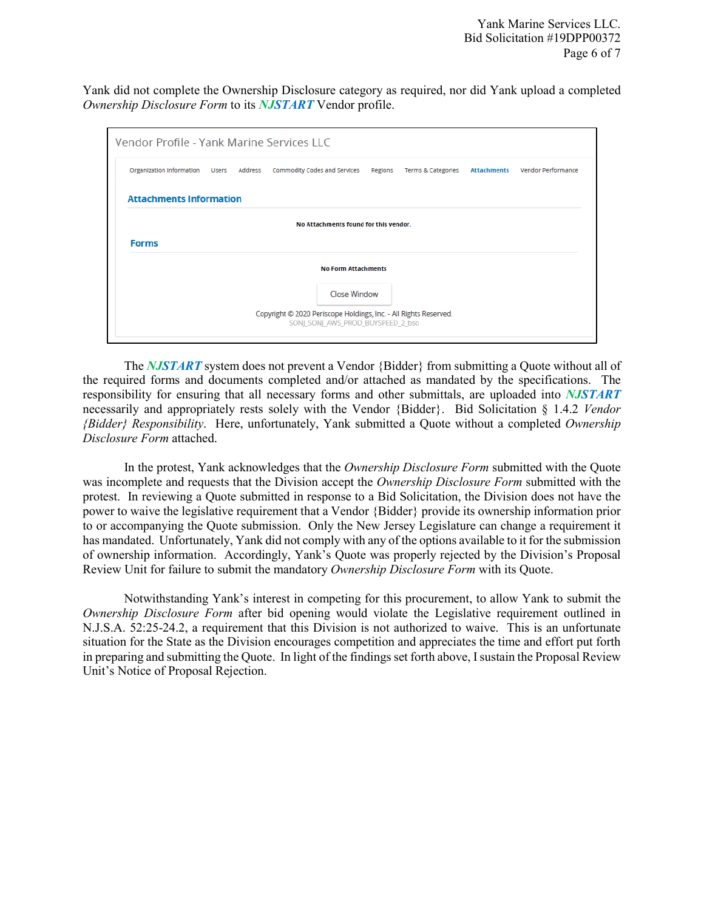Yank did not complete the Ownership Disclosure category as required, nor did Yank upload a completed *Ownership Disclosure Form* to its *NJSTART* Vendor profile.

| Organization Information Users Address Commodity Codes and Services |  |  |                                       |  | Regions Terms & Categories |  | <b>Attachments</b> Vendor Performance |  |
|---------------------------------------------------------------------|--|--|---------------------------------------|--|----------------------------|--|---------------------------------------|--|
| <b>Attachments Information</b>                                      |  |  |                                       |  |                            |  |                                       |  |
|                                                                     |  |  | No Attachments found for this vendor. |  |                            |  |                                       |  |
| <b>Forms</b>                                                        |  |  |                                       |  |                            |  |                                       |  |
|                                                                     |  |  | <b>No Form Attachments</b>            |  |                            |  |                                       |  |
|                                                                     |  |  | <b>Close Window</b>                   |  |                            |  |                                       |  |
|                                                                     |  |  |                                       |  |                            |  |                                       |  |

The *NJSTART* system does not prevent a Vendor {Bidder} from submitting a Quote without all of the required forms and documents completed and/or attached as mandated by the specifications. The responsibility for ensuring that all necessary forms and other submittals, are uploaded into *NJSTART* necessarily and appropriately rests solely with the Vendor {Bidder}. Bid Solicitation § 1.4.2 *Vendor {Bidder} Responsibility*. Here, unfortunately, Yank submitted a Quote without a completed *Ownership Disclosure Form* attached.

In the protest, Yank acknowledges that the *Ownership Disclosure Form* submitted with the Quote was incomplete and requests that the Division accept the *Ownership Disclosure Form* submitted with the protest. In reviewing a Quote submitted in response to a Bid Solicitation, the Division does not have the power to waive the legislative requirement that a Vendor {Bidder} provide its ownership information prior to or accompanying the Quote submission. Only the New Jersey Legislature can change a requirement it has mandated. Unfortunately, Yank did not comply with any of the options available to it for the submission of ownership information. Accordingly, Yank's Quote was properly rejected by the Division's Proposal Review Unit for failure to submit the mandatory *Ownership Disclosure Form* with its Quote.

Notwithstanding Yank's interest in competing for this procurement, to allow Yank to submit the *Ownership Disclosure Form* after bid opening would violate the Legislative requirement outlined in N.J.S.A. 52:25-24.2, a requirement that this Division is not authorized to waive. This is an unfortunate situation for the State as the Division encourages competition and appreciates the time and effort put forth in preparing and submitting the Quote. In light of the findings set forth above, I sustain the Proposal Review Unit's Notice of Proposal Rejection.